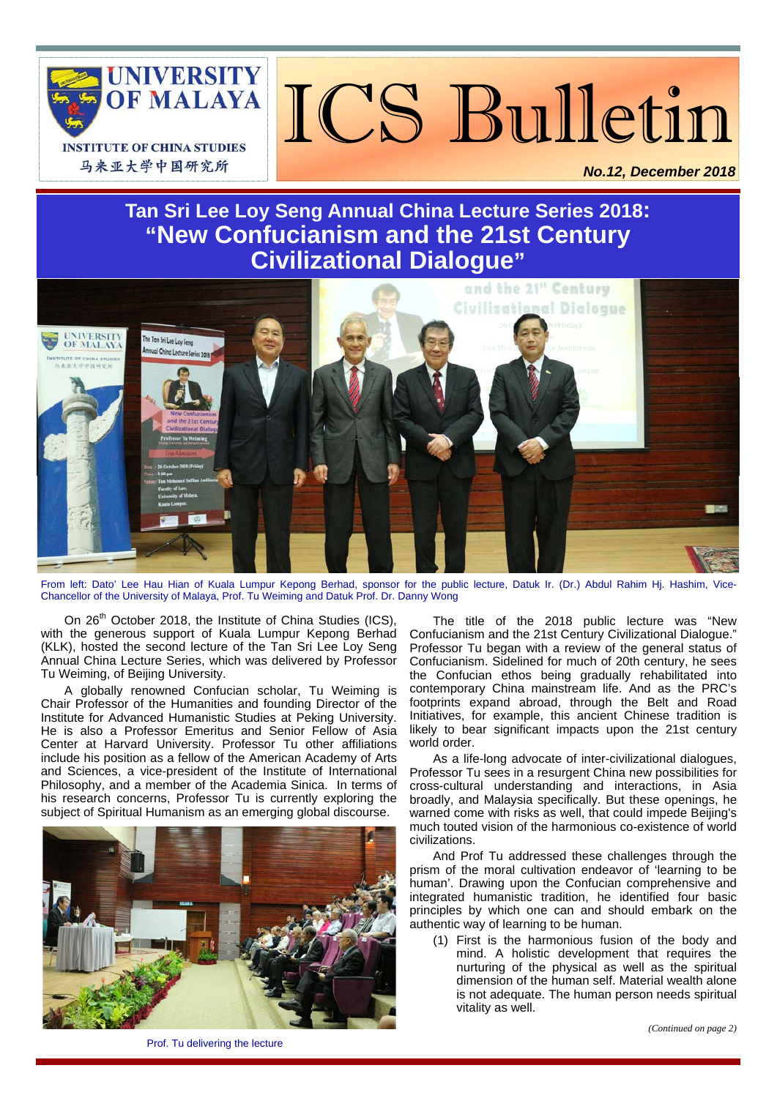

ICS Bulletin

*No.12, December 2018* 

# **Tan Sri Lee Loy Seng Annual China Lecture Series 2018: "New Confucianism and the 21st Century Civilizational Dialogue"**



From left: Dato' Lee Hau Hian of Kuala Lumpur Kepong Berhad, sponsor for the public lecture, Datuk Ir. (Dr.) Abdul Rahim Hj. Hashim, Vice-Chancellor of the University of Malaya, Prof. Tu Weiming and Datuk Prof. Dr. Danny Wong

On 26<sup>th</sup> October 2018, the Institute of China Studies (ICS), with the generous support of Kuala Lumpur Kepong Berhad (KLK), hosted the second lecture of the Tan Sri Lee Loy Seng Annual China Lecture Series, which was delivered by Professor Tu Weiming, of Beijing University.

A globally renowned Confucian scholar, Tu Weiming is Chair Professor of the Humanities and founding Director of the Institute for Advanced Humanistic Studies at Peking University. He is also a Professor Emeritus and Senior Fellow of Asia Center at Harvard University. Professor Tu other affiliations include his position as a fellow of the American Academy of Arts and Sciences, a vice-president of the Institute of International Philosophy, and a member of the Academia Sinica. In terms of his research concerns, Professor Tu is currently exploring the subject of Spiritual Humanism as an emerging global discourse.



The title of the 2018 public lecture was "New Confucianism and the 21st Century Civilizational Dialogue." Professor Tu began with a review of the general status of Confucianism. Sidelined for much of 20th century, he sees the Confucian ethos being gradually rehabilitated into contemporary China mainstream life. And as the PRC's footprints expand abroad, through the Belt and Road Initiatives, for example, this ancient Chinese tradition is likely to bear significant impacts upon the 21st century world order.

As a life-long advocate of inter-civilizational dialogues, Professor Tu sees in a resurgent China new possibilities for cross-cultural understanding and interactions, in Asia broadly, and Malaysia specifically. But these openings, he warned come with risks as well, that could impede Beiling's much touted vision of the harmonious co-existence of world civilizations.

And Prof Tu addressed these challenges through the prism of the moral cultivation endeavor of 'learning to be human'. Drawing upon the Confucian comprehensive and integrated humanistic tradition, he identified four basic principles by which one can and should embark on the authentic way of learning to be human.

(1) First is the harmonious fusion of the body and mind. A holistic development that requires the nurturing of the physical as well as the spiritual dimension of the human self. Material wealth alone is not adequate. The human person needs spiritual vitality as well.

Prof. Tu delivering the lecture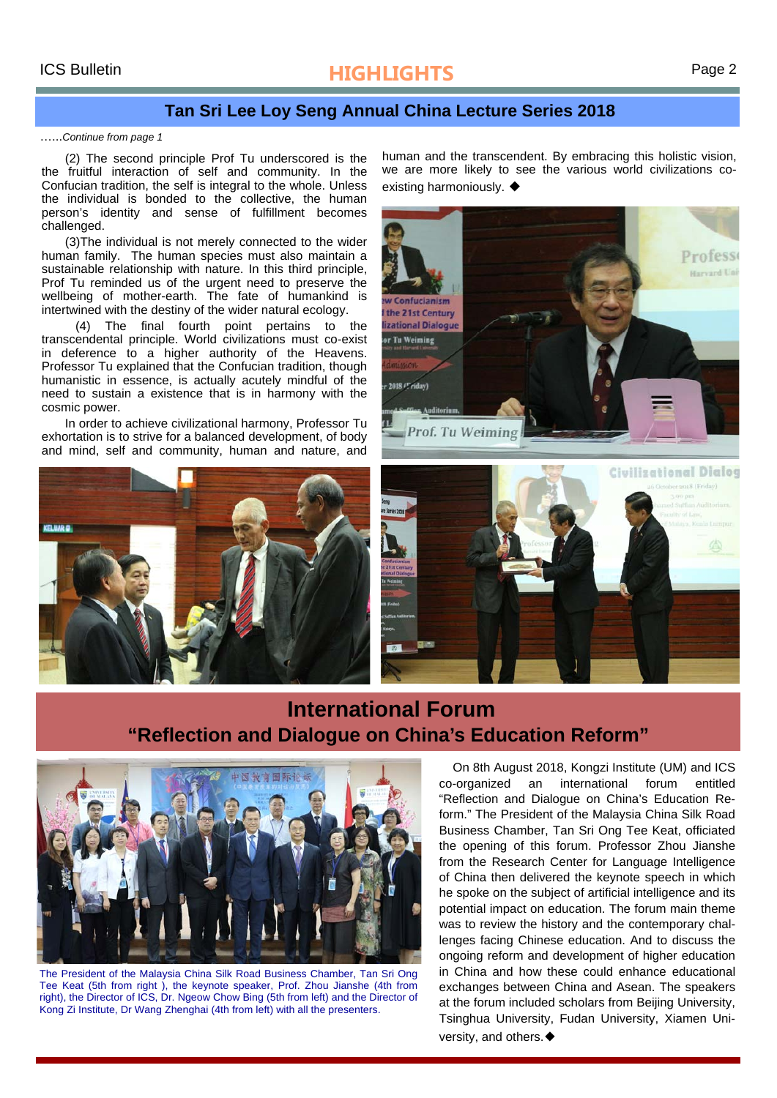# ICS Bulletin **HIGHLIGHTS** Page 2

## **Tan Sri Lee Loy Seng Annual China Lecture Series 2018**

#### …...*Continue from page 1*

(2) The second principle Prof Tu underscored is the the fruitful interaction of self and community. In the Confucian tradition, the self is integral to the whole. Unless the individual is bonded to the collective, the human person's identity and sense of fulfillment becomes challenged.

(3)The individual is not merely connected to the wider human family. The human species must also maintain a sustainable relationship with nature. In this third principle, Prof Tu reminded us of the urgent need to preserve the wellbeing of mother-earth. The fate of humankind is intertwined with the destiny of the wider natural ecology.

 (4) The final fourth point pertains to the transcendental principle. World civilizations must co-exist in deference to a higher authority of the Heavens. Professor Tu explained that the Confucian tradition, though humanistic in essence, is actually acutely mindful of the need to sustain a existence that is in harmony with the cosmic power.

In order to achieve civilizational harmony, Professor Tu exhortation is to strive for a balanced development, of body and mind, self and community, human and nature, and



human and the transcendent. By embracing this holistic vision, we are more likely to see the various world civilizations coexisting harmoniously. ◆





## **International Forum "Reflection and Dialogue on China's Education Reform"**



The President of the Malaysia China Silk Road Business Chamber, Tan Sri Ong Tee Keat (5th from right ), the keynote speaker, Prof. Zhou Jianshe (4th from right), the Director of ICS, Dr. Ngeow Chow Bing (5th from left) and the Director of Kong Zi Institute, Dr Wang Zhenghai (4th from left) with all the presenters.

 On 8th August 2018, Kongzi Institute (UM) and ICS co-organized an international forum entitled "Reflection and Dialogue on China's Education Reform." The President of the Malaysia China Silk Road Business Chamber, Tan Sri Ong Tee Keat, officiated the opening of this forum. Professor Zhou Jianshe from the Research Center for Language Intelligence of China then delivered the keynote speech in which he spoke on the subject of artificial intelligence and its potential impact on education. The forum main theme was to review the history and the contemporary challenges facing Chinese education. And to discuss the ongoing reform and development of higher education in China and how these could enhance educational exchanges between China and Asean. The speakers at the forum included scholars from Beijing University, Tsinghua University, Fudan University, Xiamen University, and others. ♦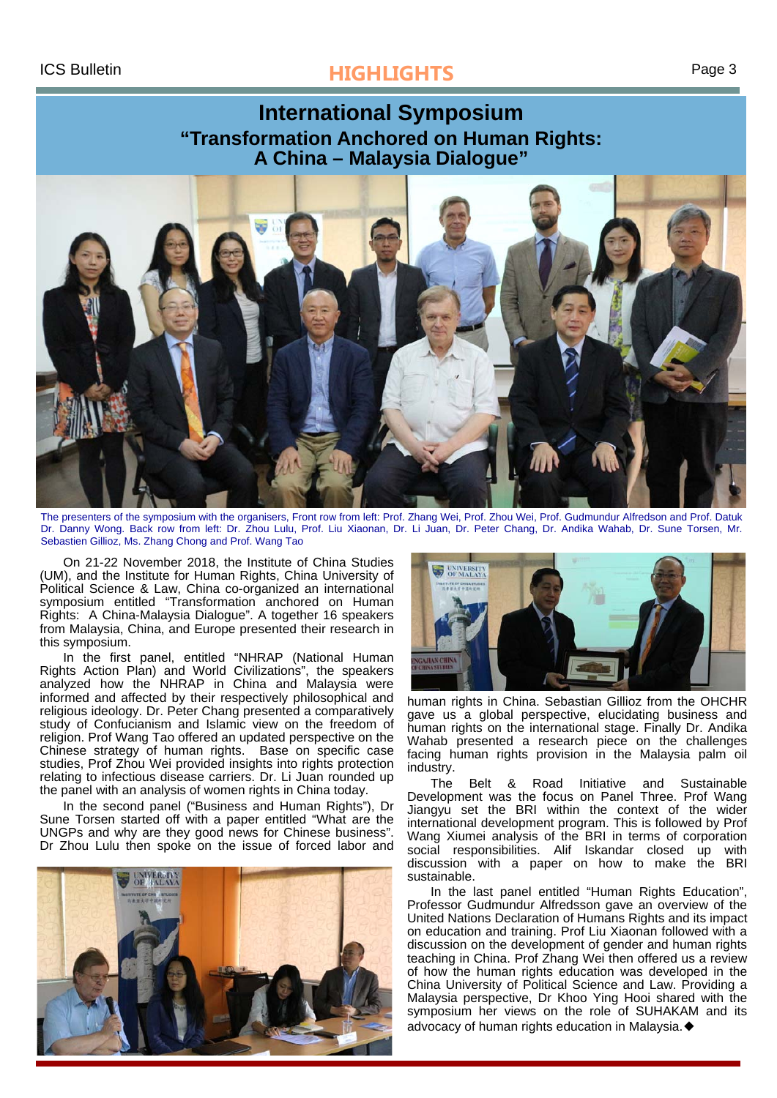# ICS Bulletin **HIGHLIGHTS** Page 3

## **International Symposium "Transformation Anchored on Human Rights: A China – Malaysia Dialogue"**



The presenters of the symposium with the organisers, Front row from left: Prof. Zhang Wei, Prof. Zhou Wei, Prof. Gudmundur Alfredson and Prof. Datuk Dr. Danny Wong. Back row from left: Dr. Zhou Lulu, Prof. Liu Xiaonan, Dr. Li Juan, Dr. Peter Chang, Dr. Andika Wahab, Dr. Sune Torsen, Mr. Sebastien Gillioz, Ms. Zhang Chong and Prof. Wang Tao

On 21-22 November 2018, the Institute of China Studies (UM), and the Institute for Human Rights, China University of Political Science & Law, China co-organized an international symposium entitled "Transformation anchored on Human Rights: A China-Malaysia Dialogue". A together 16 speakers from Malaysia, China, and Europe presented their research in this symposium.

In the first panel, entitled "NHRAP (National Human Rights Action Plan) and World Civilizations", the speakers analyzed how the NHRAP in China and Malaysia were informed and affected by their respectively philosophical and religious ideology. Dr. Peter Chang presented a comparatively study of Confucianism and Islamic view on the freedom of religion. Prof Wang Tao offered an updated perspective on the Chinese strategy of human rights. Base on specific case studies, Prof Zhou Wei provided insights into rights protection relating to infectious disease carriers. Dr. Li Juan rounded up the panel with an analysis of women rights in China today.

In the second panel ("Business and Human Rights"), Dr Sune Torsen started off with a paper entitled "What are the UNGPs and why are they good news for Chinese business". Dr Zhou Lulu then spoke on the issue of forced labor and





human rights in China. Sebastian Gillioz from the OHCHR gave us a global perspective, elucidating business and human rights on the international stage. Finally Dr. Andika Wahab presented a research piece on the challenges facing human rights provision in the Malaysia palm oil industry.

The Belt & Road Initiative and Sustainable Development was the focus on Panel Three. Prof Wang Jiangyu set the BRI within the context of the wider international development program. This is followed by Prof Wang Xiumei analysis of the BRI in terms of corporation social responsibilities. Alif Iskandar closed up with discussion with a paper on how to make the BRI sustainable.

In the last panel entitled "Human Rights Education", Professor Gudmundur Alfredsson gave an overview of the United Nations Declaration of Humans Rights and its impact on education and training. Prof Liu Xiaonan followed with a discussion on the development of gender and human rights teaching in China. Prof Zhang Wei then offered us a review of how the human rights education was developed in the China University of Political Science and Law. Providing a Malaysia perspective, Dr Khoo Ying Hooi shared with the symposium her views on the role of SUHAKAM and its advocacy of human rights education in Malaysia.◆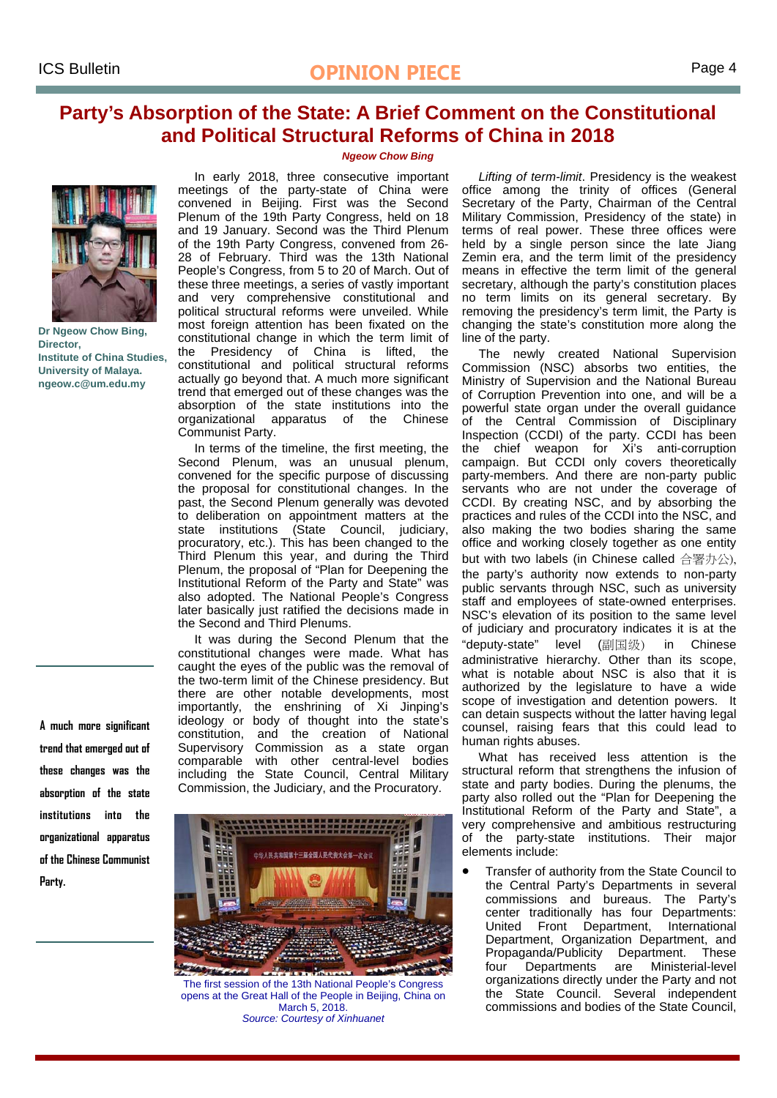## **Party's Absorption of the State: A Brief Comment on the Constitutional and Political Structural Reforms of China in 2018**



**Dr Ngeow Chow Bing, Director, Institute of China Studies, University of Malaya. ngeow.c@um.edu.my** 

**A much more significant trend that emerged out of these changes was the absorption of the state institutions into the organizational apparatus of the Chinese Communist Party.** 

#### *Ngeow Chow Bing*

In early 2018, three consecutive important meetings of the party-state of China were convened in Beijing. First was the Second Plenum of the 19th Party Congress, held on 18 and 19 January. Second was the Third Plenum of the 19th Party Congress, convened from 26- 28 of February. Third was the 13th National People's Congress, from 5 to 20 of March. Out of these three meetings, a series of vastly important and very comprehensive constitutional and political structural reforms were unveiled. While most foreign attention has been fixated on the constitutional change in which the term limit of the Presidency of China is lifted, the constitutional and political structural reforms actually go beyond that. A much more significant trend that emerged out of these changes was the absorption of the state institutions into the organizational apparatus of the Chinese Communist Party.

In terms of the timeline, the first meeting, the Second Plenum, was an unusual plenum, convened for the specific purpose of discussing the proposal for constitutional changes. In the past, the Second Plenum generally was devoted to deliberation on appointment matters at the state institutions (State Council, judiciary, procuratory, etc.). This has been changed to the Third Plenum this year, and during the Third Plenum, the proposal of "Plan for Deepening the Institutional Reform of the Party and State" was also adopted. The National People's Congress later basically just ratified the decisions made in the Second and Third Plenums.

It was during the Second Plenum that the constitutional changes were made. What has caught the eyes of the public was the removal of the two-term limit of the Chinese presidency. But there are other notable developments, most importantly, the enshrining of Xi Jinping's ideology or body of thought into the state's constitution, and the creation of National Supervisory Commission as a state organ comparable with other central-level bodies including the State Council, Central Military Commission, the Judiciary, and the Procuratory.



The first session of the 13th National People's Congress opens at the Great Hall of the People in Beijing, China on March 5, 2018. *Source: Courtesy of Xinhuanet* 

*Lifting of term-limit*. Presidency is the weakest office among the trinity of offices (General Secretary of the Party, Chairman of the Central Military Commission, Presidency of the state) in terms of real power. These three offices were held by a single person since the late Jiang Zemin era, and the term limit of the presidency means in effective the term limit of the general secretary, although the party's constitution places no term limits on its general secretary. By removing the presidency's term limit, the Party is changing the state's constitution more along the line of the party.

The newly created National Supervision Commission (NSC) absorbs two entities, the Ministry of Supervision and the National Bureau of Corruption Prevention into one, and will be a powerful state organ under the overall guidance of the Central Commission of Disciplinary Inspection (CCDI) of the party. CCDI has been the chief weapon for Xi's anti-corruption campaign. But CCDI only covers theoretically party-members. And there are non-party public servants who are not under the coverage of CCDI. By creating NSC, and by absorbing the practices and rules of the CCDI into the NSC, and also making the two bodies sharing the same office and working closely together as one entity but with two labels (in Chinese called 合署办公), the party's authority now extends to non-party public servants through NSC, such as university staff and employees of state-owned enterprises. NSC's elevation of its position to the same level of judiciary and procuratory indicates it is at the "deputy-state" level (副国级) in Chinese administrative hierarchy. Other than its scope, what is notable about NSC is also that it is authorized by the legislature to have a wide scope of investigation and detention powers. It can detain suspects without the latter having legal counsel, raising fears that this could lead to human rights abuses.

What has received less attention is the structural reform that strengthens the infusion of state and party bodies. During the plenums, the party also rolled out the "Plan for Deepening the Institutional Reform of the Party and State", a very comprehensive and ambitious restructuring of the party-state institutions. Their major elements include:

 Transfer of authority from the State Council to the Central Party's Departments in several commissions and bureaus. The Party's center traditionally has four Departments: United Front Department, International Department, Organization Department, and Propaganda/Publicity Department. These four Departments are Ministerial-level organizations directly under the Party and not the State Council. Several independent commissions and bodies of the State Council,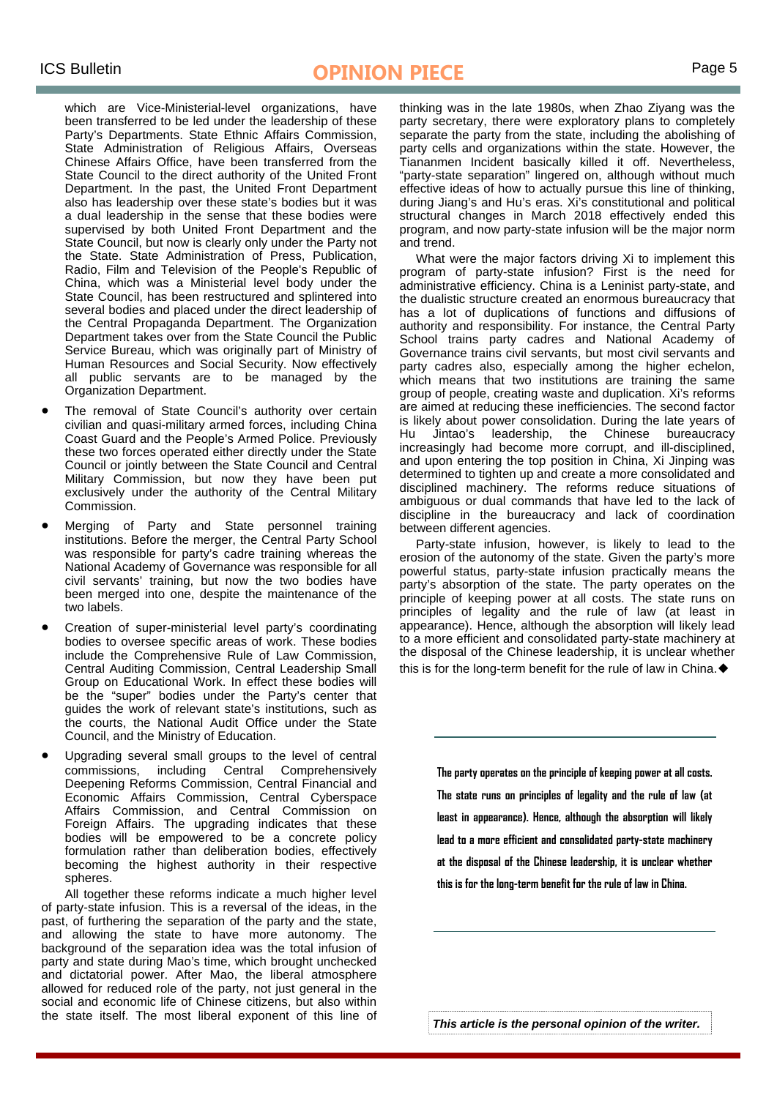which are Vice-Ministerial-level organizations, have been transferred to be led under the leadership of these Party's Departments. State Ethnic Affairs Commission, State Administration of Religious Affairs, Overseas Chinese Affairs Office, have been transferred from the State Council to the direct authority of the United Front Department. In the past, the United Front Department also has leadership over these state's bodies but it was a dual leadership in the sense that these bodies were supervised by both United Front Department and the State Council, but now is clearly only under the Party not the State. State Administration of Press, Publication, Radio, Film and Television of the People's Republic of China, which was a Ministerial level body under the State Council, has been restructured and splintered into several bodies and placed under the direct leadership of the Central Propaganda Department. The Organization Department takes over from the State Council the Public Service Bureau, which was originally part of Ministry of Human Resources and Social Security. Now effectively all public servants are to be managed by the Organization Department.

- The removal of State Council's authority over certain civilian and quasi-military armed forces, including China Coast Guard and the People's Armed Police. Previously these two forces operated either directly under the State Council or jointly between the State Council and Central Military Commission, but now they have been put exclusively under the authority of the Central Military Commission.
- Merging of Party and State personnel training institutions. Before the merger, the Central Party School was responsible for party's cadre training whereas the National Academy of Governance was responsible for all civil servants' training, but now the two bodies have been merged into one, despite the maintenance of the two labels.
- Creation of super-ministerial level party's coordinating bodies to oversee specific areas of work. These bodies include the Comprehensive Rule of Law Commission, Central Auditing Commission, Central Leadership Small Group on Educational Work. In effect these bodies will be the "super" bodies under the Party's center that guides the work of relevant state's institutions, such as the courts, the National Audit Office under the State Council, and the Ministry of Education.
- Upgrading several small groups to the level of central commissions, including Central Comprehensively Deepening Reforms Commission, Central Financial and Economic Affairs Commission, Central Cyberspace Affairs Commission, and Central Commission on Foreign Affairs. The upgrading indicates that these bodies will be empowered to be a concrete policy formulation rather than deliberation bodies, effectively becoming the highest authority in their respective spheres.

 All together these reforms indicate a much higher level of party-state infusion. This is a reversal of the ideas, in the past, of furthering the separation of the party and the state, and allowing the state to have more autonomy. The background of the separation idea was the total infusion of party and state during Mao's time, which brought unchecked and dictatorial power. After Mao, the liberal atmosphere allowed for reduced role of the party, not just general in the social and economic life of Chinese citizens, but also within the state itself. The most liberal exponent of this line of

thinking was in the late 1980s, when Zhao Ziyang was the party secretary, there were exploratory plans to completely separate the party from the state, including the abolishing of party cells and organizations within the state. However, the Tiananmen Incident basically killed it off. Nevertheless, "party-state separation" lingered on, although without much effective ideas of how to actually pursue this line of thinking, during Jiang's and Hu's eras. Xi's constitutional and political structural changes in March 2018 effectively ended this program, and now party-state infusion will be the major norm and trend.

What were the major factors driving Xi to implement this program of party-state infusion? First is the need for administrative efficiency. China is a Leninist party-state, and the dualistic structure created an enormous bureaucracy that has a lot of duplications of functions and diffusions of authority and responsibility. For instance, the Central Party School trains party cadres and National Academy of Governance trains civil servants, but most civil servants and party cadres also, especially among the higher echelon, which means that two institutions are training the same group of people, creating waste and duplication. Xi's reforms are aimed at reducing these inefficiencies. The second factor is likely about power consolidation. During the late years of Hu Jintao's leadership, the Chinese bureaucracy increasingly had become more corrupt, and ill-disciplined, and upon entering the top position in China, Xi Jinping was determined to tighten up and create a more consolidated and disciplined machinery. The reforms reduce situations of ambiguous or dual commands that have led to the lack of discipline in the bureaucracy and lack of coordination between different agencies.

Party-state infusion, however, is likely to lead to the erosion of the autonomy of the state. Given the party's more powerful status, party-state infusion practically means the party's absorption of the state. The party operates on the principle of keeping power at all costs. The state runs on principles of legality and the rule of law (at least in appearance). Hence, although the absorption will likely lead to a more efficient and consolidated party-state machinery at the disposal of the Chinese leadership, it is unclear whether this is for the long-term benefit for the rule of law in China.◆

> **The party operates on the principle of keeping power at all costs. The state runs on principles of legality and the rule of law (at least in appearance). Hence, although the absorption will likely lead to a more efficient and consolidated party-state machinery at the disposal of the Chinese leadership, it is unclear whether this is for the long-term benefit for the rule of law in China.**

*This article is the personal opinion of the writer.*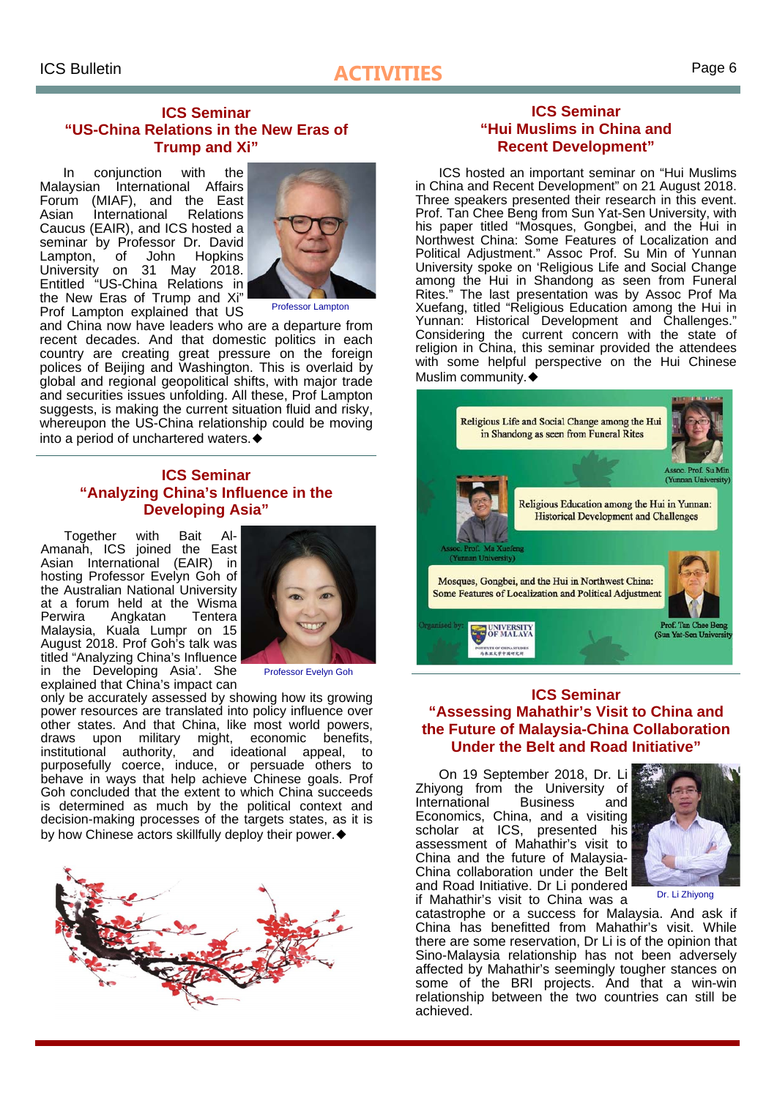# **ICS Bulletin** Page 6

### **ICS Seminar "US-China Relations in the New Eras of Trump and Xi"**

In conjunction with the Malaysian International Affairs Forum (MIAF), and the East Asian International Relations Caucus (EAIR), and ICS hosted a seminar by Professor Dr. David Lampton, of John Hopkins University on 31 May 2018. Entitled "US-China Relations in the New Eras of Trump and Xi" Prof Lampton explained that US



Professor Lampton

and China now have leaders who are a departure from recent decades. And that domestic politics in each country are creating great pressure on the foreign polices of Beijing and Washington. This is overlaid by global and regional geopolitical shifts, with major trade and securities issues unfolding. All these, Prof Lampton suggests, is making the current situation fluid and risky. whereupon the US-China relationship could be moving into a period of unchartered waters.◆

## **ICS Seminar "Analyzing China's Influence in the Developing Asia"**

Together with Bait Al-Amanah, ICS joined the East Asian International (EAIR) in hosting Professor Evelyn Goh of the Australian National University at a forum held at the Wisma Perwira Angkatan Tentera Malaysia, Kuala Lumpr on 15 August 2018. Prof Goh's talk was titled "Analyzing China's Influence in the Developing Asia'. She explained that China's impact can



Professor Evelyn Goh

only be accurately assessed by showing how its growing power resources are translated into policy influence over other states. And that China, like most world powers, draws upon military might, economic benefits, institutional authority, and ideational appeal, to purposefully coerce, induce, or persuade others to behave in ways that help achieve Chinese goals. Prof Goh concluded that the extent to which China succeeds is determined as much by the political context and decision-making processes of the targets states, as it is by how Chinese actors skillfully deploy their power.◆



#### **ICS Seminar "Hui Muslims in China and Recent Development"**

ICS hosted an important seminar on "Hui Muslims in China and Recent Development" on 21 August 2018. Three speakers presented their research in this event. Prof. Tan Chee Beng from Sun Yat-Sen University, with his paper titled "Mosques, Gongbei, and the Hui in Northwest China: Some Features of Localization and Political Adjustment." Assoc Prof. Su Min of Yunnan University spoke on 'Religious Life and Social Change among the Hui in Shandong as seen from Funeral Rites." The last presentation was by Assoc Prof Ma Xuefang, titled "Religious Education among the Hui in Yunnan: Historical Development and Challenges." Considering the current concern with the state of religion in China, this seminar provided the attendees with some helpful perspective on the Hui Chinese Muslim community.◆



## **ICS Seminar "Assessing Mahathir's Visit to China and the Future of Malaysia-China Collaboration Under the Belt and Road Initiative"**

On 19 September 2018, Dr. Li Zhiyong from the University of International Business and Economics, China, and a visiting scholar at ICS, presented his assessment of Mahathir's visit to China and the future of Malaysia-China collaboration under the Belt and Road Initiative. Dr Li pondered if Mahathir's visit to China was a



Dr. Li Zhiyong

catastrophe or a success for Malaysia. And ask if China has benefitted from Mahathir's visit. While there are some reservation, Dr Li is of the opinion that Sino-Malaysia relationship has not been adversely affected by Mahathir's seemingly tougher stances on some of the BRI projects. And that a win-win relationship between the two countries can still be achieved.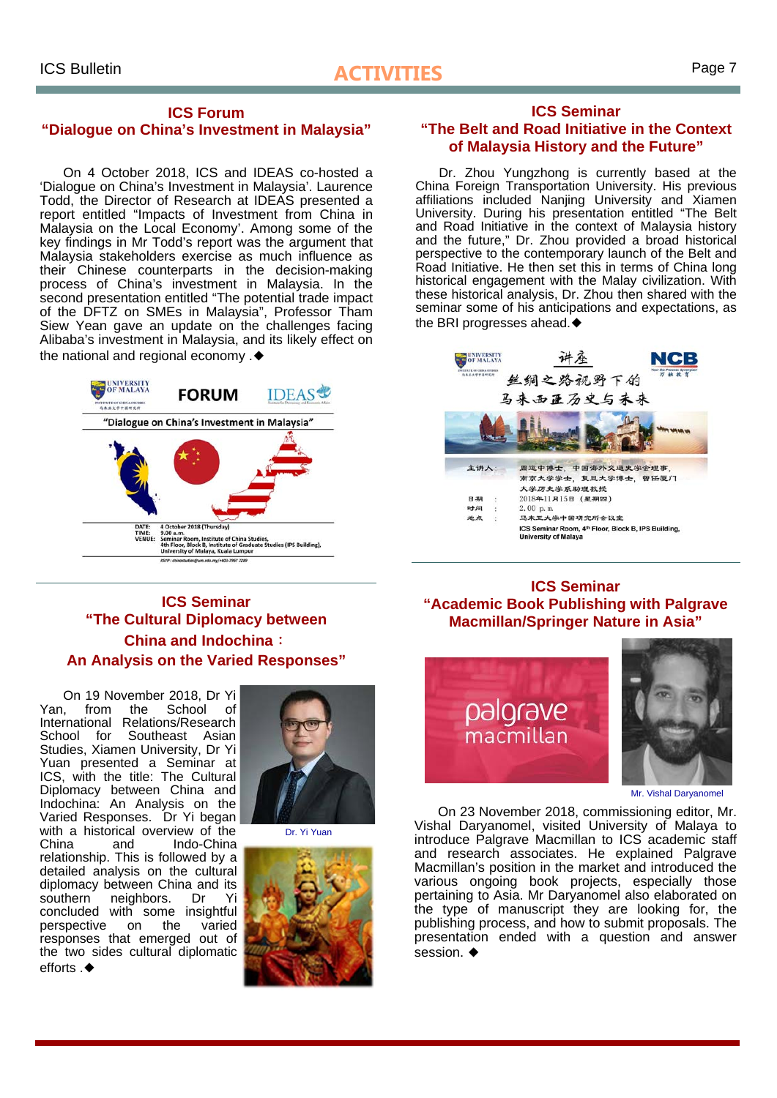# **ICS Bulletin** Page 7

#### **ICS Forum "Dialogue on China's Investment in Malaysia"**

On 4 October 2018, ICS and IDEAS co-hosted a 'Dialogue on China's Investment in Malaysia'. Laurence Todd, the Director of Research at IDEAS presented a report entitled "Impacts of Investment from China in Malaysia on the Local Economy'. Among some of the key findings in Mr Todd's report was the argument that Malaysia stakeholders exercise as much influence as their Chinese counterparts in the decision-making process of China's investment in Malaysia. In the second presentation entitled "The potential trade impact of the DFTZ on SMEs in Malaysia", Professor Tham Siew Yean gave an update on the challenges facing Alibaba's investment in Malaysia, and its likely effect on the national and regional economy .◆



#### **ICS Seminar "The Belt and Road Initiative in the Context of Malaysia History and the Future"**

Dr. Zhou Yungzhong is currently based at the China Foreign Transportation University. His previous affiliations included Nanjing University and Xiamen University. During his presentation entitled "The Belt and Road Initiative in the context of Malaysia history and the future," Dr. Zhou provided a broad historical perspective to the contemporary launch of the Belt and Road Initiative. He then set this in terms of China long historical engagement with the Malay civilization. With these historical analysis, Dr. Zhou then shared with the seminar some of his anticipations and expectations, as the BRI progresses ahead.◆



## **ICS Seminar "The Cultural Diplomacy between China and Indochina**: **An Analysis on the Varied Responses"**

On 19 November 2018, Dr Yi Yan, from the School of International Relations/Research School for Southeast Asian Studies, Xiamen University, Dr Yi Yuan presented a Seminar at ICS, with the title: The Cultural Diplomacy between China and Indochina: An Analysis on the Varied Responses. Dr Yi began with a historical overview of the China and Indo-China relationship. This is followed by a detailed analysis on the cultural diplomacy between China and its southern neighbors. Dr Yi concluded with some insightful perspective on the varied responses that emerged out of the two sides cultural diplomatic  $efforts \triangleleft$ 



Dr. Yi Yuan



## **ICS Seminar "Academic Book Publishing with Palgrave Macmillan/Springer Nature in Asia"**



Mr. Vishal Daryanomel

On 23 November 2018, commissioning editor, Mr. Vishal Daryanomel, visited University of Malaya to introduce Palgrave Macmillan to ICS academic staff and research associates. He explained Palgrave Macmillan's position in the market and introduced the various ongoing book projects, especially those pertaining to Asia. Mr Daryanomel also elaborated on the type of manuscript they are looking for, the publishing process, and how to submit proposals. The presentation ended with a question and answer session ◆